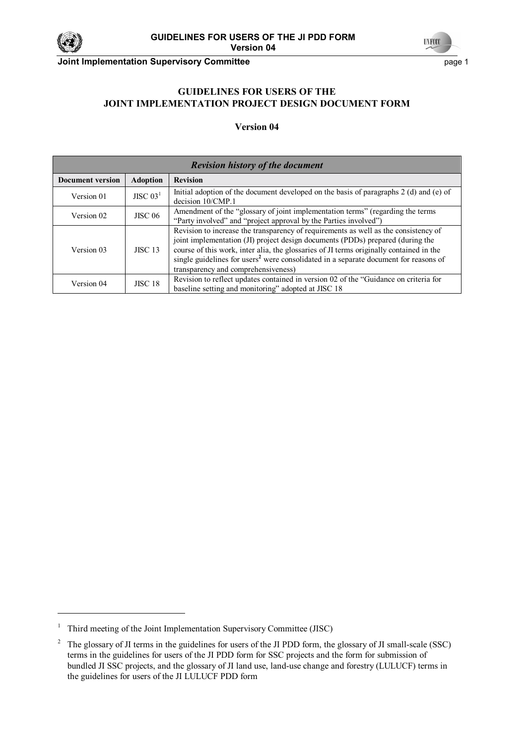



**Joint Implementation Supervisory Committee** <br>
page 1

# **GUIDELINES FOR USERS OF THE JOINT IMPLEMENTATION PROJECT DESIGN DOCUMENT FORM**

#### **Version 04**

| <b>Revision history of the document</b> |                 |                                                                                                                                                                                                                                                                                                                                                                                                             |  |
|-----------------------------------------|-----------------|-------------------------------------------------------------------------------------------------------------------------------------------------------------------------------------------------------------------------------------------------------------------------------------------------------------------------------------------------------------------------------------------------------------|--|
| <b>Document version</b>                 | <b>Adoption</b> | <b>Revision</b>                                                                                                                                                                                                                                                                                                                                                                                             |  |
| Version 01                              | JISC $031$      | Initial adoption of the document developed on the basis of paragraphs $2$ (d) and (e) of<br>decision $10/CMP.1$                                                                                                                                                                                                                                                                                             |  |
| Version 02                              | <b>JISC 06</b>  | Amendment of the "glossary of joint implementation terms" (regarding the terms<br>"Party involved" and "project approval by the Parties involved")                                                                                                                                                                                                                                                          |  |
| Version 03                              | <b>JISC 13</b>  | Revision to increase the transparency of requirements as well as the consistency of<br>joint implementation (JI) project design documents (PDDs) prepared (during the<br>course of this work, inter alia, the glossaries of JI terms originally contained in the<br>single guidelines for users <sup>2</sup> were consolidated in a separate document for reasons of<br>transparency and comprehensiveness) |  |
| Version 04                              | <b>JISC 18</b>  | Revision to reflect updates contained in version 02 of the "Guidance on criteria for<br>baseline setting and monitoring" adopted at JISC 18                                                                                                                                                                                                                                                                 |  |

<sup>1</sup> Third meeting of the Joint Implementation Supervisory Committee (JISC)

<sup>2</sup> The glossary of JI terms in the guidelines for users of the JI PDD form, the glossary of JI small-scale (SSC) terms in the guidelines for users of the JI PDD form for SSC projects and the form for submission of bundled JI SSC projects, and the glossary of JI land use, land-use change and forestry (LULUCF) terms in the guidelines for users of the JI LULUCF PDD form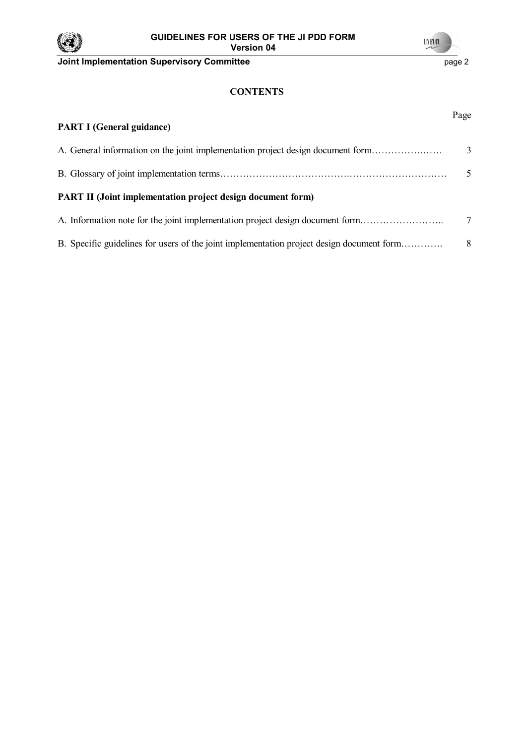

# **UNFCCC Joint Implementation Supervisory Committee** <br>
page 2

# **CONTENTS**

| <b>PART I (General guidance)</b>                                                          | Page          |
|-------------------------------------------------------------------------------------------|---------------|
| A. General information on the joint implementation project design document form           | 3             |
|                                                                                           | $\mathcal{F}$ |
| <b>PART II (Joint implementation project design document form)</b>                        |               |
| A. Information note for the joint implementation project design document form             | 7             |
| B. Specific guidelines for users of the joint implementation project design document form | 8             |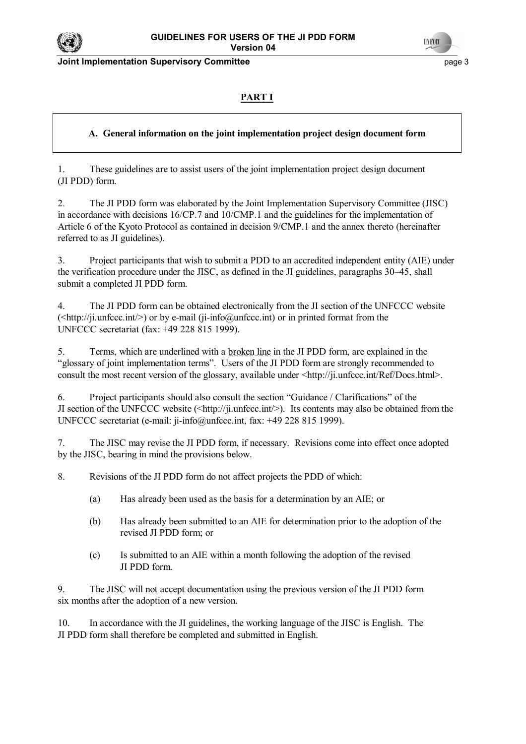

**Joint Implementation Supervisory Committee** page 3



# **PART I**

# **A. General information on the joint implementation project design document form**

1. These guidelines are to assist users of the joint implementation project design document (JI PDD) form.

2. The JI PDD form was elaborated by the Joint Implementation Supervisory Committee (JISC) in accordance with decisions 16/CP.7 and 10/CMP.1 and the guidelines for the implementation of Article 6 of the Kyoto Protocol as contained in decision 9/CMP.1 and the annex thereto (hereinafter referred to as JI guidelines).

3. Project participants that wish to submit a PDD to an accredited independent entity (AIE) under the verification procedure under the JISC, as defined in the JI guidelines, paragraphs 30–45, shall submit a completed JI PDD form.

4. The JI PDD form can be obtained electronically from the JI section of the UNFCCC website  $(\langle \text{http://ji.unfccc.int/>}) \text{ or by e-mail (ji-info@unfccc.int}) \text{ or in printed format from the }$ UNFCCC secretariat (fax: +49 228 815 1999).

5. Terms, which are underlined with a broken line in the JI PDD form, are explained in the "glossary of joint implementation terms". Users of the JI PDD form are strongly recommended to consult the most recent version of the glossary, available under <http://ji.unfccc.int/Ref/Docs.html>.

6. Project participants should also consult the section "Guidance / Clarifications" of the JI section of the UNFCCC website  $(\langle \text{http://ji.unfcc.in/}\rangle)$ . Its contents may also be obtained from the UNFCCC secretariat (e-mail: ji-info@unfccc.int, fax: +49 228 815 1999).

7. The JISC may revise the JI PDD form, if necessary. Revisions come into effect once adopted by the JISC, bearing in mind the provisions below.

8. Revisions of the JI PDD form do not affect projects the PDD of which:

- (a) Has already been used as the basis for a determination by an AIE; or
- (b) Has already been submitted to an AIE for determination prior to the adoption of the revised JI PDD form; or
- (c) Is submitted to an AIE within a month following the adoption of the revised JI PDD form.

9. The JISC will not accept documentation using the previous version of the JI PDD form six months after the adoption of a new version.

10. In accordance with the JI guidelines, the working language of the JISC is English. The JI PDD form shall therefore be completed and submitted in English.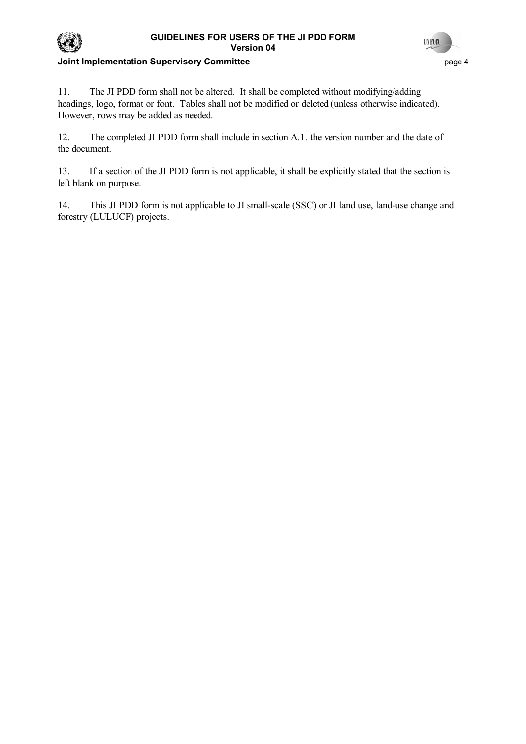



# **Joint Implementation Supervisory Committee** <br>
page 4

11. The JI PDD form shall not be altered. It shall be completed without modifying/adding headings, logo, format or font. Tables shall not be modified or deleted (unless otherwise indicated). However, rows may be added as needed.

12. The completed JI PDD form shall include in section A.1. the version number and the date of the document.

13. If a section of the JI PDD form is not applicable, it shall be explicitly stated that the section is left blank on purpose.

14. This JI PDD form is not applicable to JI small-scale (SSC) or JI land use, land-use change and forestry (LULUCF) projects.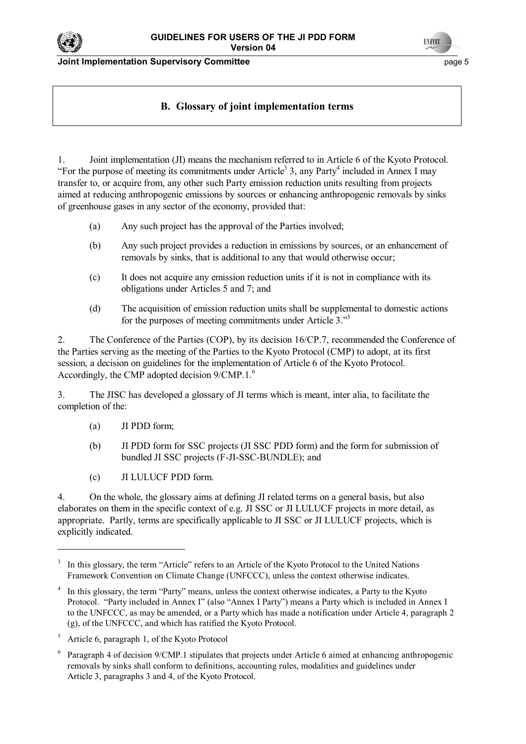

**Joint Implementation Supervisory Committee** page 5

# **B. Glossary of joint implementation terms**

1. Joint implementation (JI) means the mechanism referred to in Article 6 of the Kyoto Protocol. "For the purpose of meeting its commitments under Article<sup>3</sup> 3, any Party<sup>4</sup> included in Annex I may transfer to, or acquire from, any other such Party emission reduction units resulting from projects aimed at reducing anthropogenic emissions by sources or enhancing anthropogenic removals by sinks of greenhouse gases in any sector of the economy, provided that:

- (a) Any such project has the approval of the Parties involved;
- (b) Any such project provides a reduction in emissions by sources, or an enhancement of removals by sinks, that is additional to any that would otherwise occur;
- (c) It does not acquire any emission reduction units if it is not in compliance with its obligations under Articles 5 and 7; and
- (d) The acquisition of emission reduction units shall be supplemental to domestic actions for the purposes of meeting commitments under Article  $3.^{55}$ .

2. The Conference of the Parties (COP), by its decision 16/CP.7, recommended the Conference of the Parties serving as the meeting of the Parties to the Kyoto Protocol (CMP) to adopt, at its first session, a decision on guidelines for the implementation of Article 6 of the Kyoto Protocol. Accordingly, the CMP adopted decision  $9/CMP.1<sup>6</sup>$ 

3. The JISC has developed a glossary of JI terms which is meant, inter alia, to facilitate the completion of the:

(a) JI PDD form;

l

- (b) JI PDD form for SSC projects (JI SSC PDD form) and the form for submission of bundled JI SSC projects (F-JI-SSC-BUNDLE); and
- (c) JI LULUCF PDD form.

4. On the whole, the glossary aims at defining JI related terms on a general basis, but also elaborates on them in the specific context of e.g. JI SSC or JI LULUCF projects in more detail, as appropriate. Partly, terms are specifically applicable to JI SSC or JI LULUCF projects, which is explicitly indicated.

<sup>3</sup> In this glossary, the term "Article" refers to an Article of the Kyoto Protocol to the United Nations Framework Convention on Climate Change (UNFCCC), unless the context otherwise indicates.

<sup>4</sup> In this glossary, the term "Party" means, unless the context otherwise indicates, a Party to the Kyoto Protocol. "Party included in Annex I" (also "Annex I Party") means a Party which is included in Annex I to the UNFCCC, as may be amended, or a Party which has made a notification under Article 4, paragraph 2 (g), of the UNFCCC, and which has ratified the Kyoto Protocol.

<sup>5</sup> Article 6, paragraph 1, of the Kyoto Protocol

<sup>6</sup> Paragraph 4 of decision 9/CMP.1 stipulates that projects under Article 6 aimed at enhancing anthropogenic removals by sinks shall conform to definitions, accounting rules, modalities and guidelines under Article 3, paragraphs 3 and 4, of the Kyoto Protocol.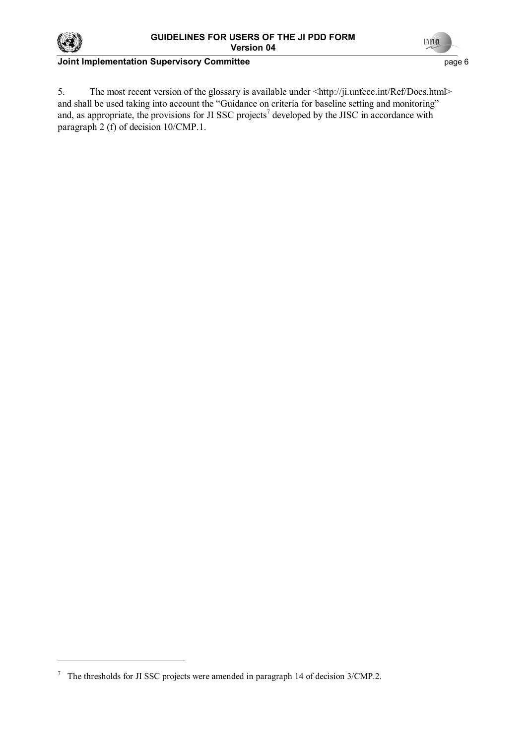



# **Joint Implementation Supervisory Committee** <br>
page 6

5. The most recent version of the glossary is available under <http://ji.unfccc.int/Ref/Docs.html> and shall be used taking into account the "Guidance on criteria for baseline setting and monitoring" and, as appropriate, the provisions for JI SSC projects<sup>7</sup> developed by the JISC in accordance with paragraph 2 (f) of decision 10/CMP.1.

<sup>7</sup> The thresholds for JI SSC projects were amended in paragraph 14 of decision 3/CMP.2.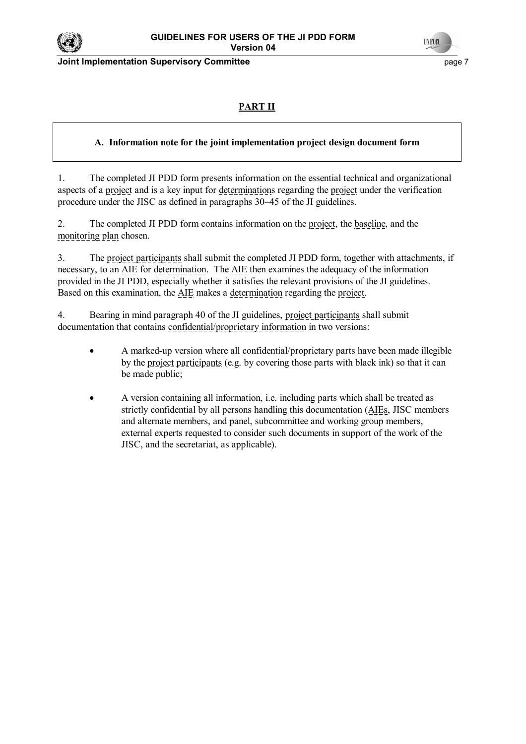

**Joint Implementation Supervisory Committee** <br>
page 7

# **PART II**

# **A. Information note for the joint implementation project design document form**

1. The completed JI PDD form presents information on the essential technical and organizational aspects of a project and is a key input for determinations regarding the project under the verification procedure under the JISC as defined in paragraphs 30–45 of the JI guidelines.

2. The completed JI PDD form contains information on the project, the baseline, and the monitoring plan chosen.

3. The project participants shall submit the completed JI PDD form, together with attachments, if necessary, to an AIE for determination. The AIE then examines the adequacy of the information provided in the JI PDD, especially whether it satisfies the relevant provisions of the JI guidelines. Based on this examination, the AIE makes a determination regarding the project.

4. Bearing in mind paragraph 40 of the JI guidelines, project participants shall submit documentation that contains confidential/proprietary information in two versions:

- A marked-up version where all confidential/proprietary parts have been made illegible by the project participants (e.g. by covering those parts with black ink) so that it can be made public;
- A version containing all information, i.e. including parts which shall be treated as strictly confidential by all persons handling this documentation (AIEs, JISC members and alternate members, and panel, subcommittee and working group members, external experts requested to consider such documents in support of the work of the JISC, and the secretariat, as applicable).

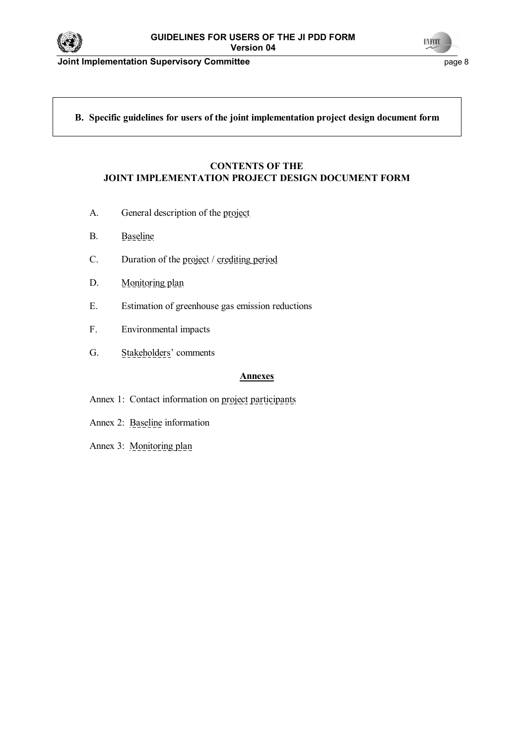

**Joint Implementation Supervisory Committee** *page 8* **page 8** 



# **B. Specific guidelines for users of the joint implementation project design document form**

#### **CONTENTS OF THE JOINT IMPLEMENTATION PROJECT DESIGN DOCUMENT FORM**

- A. General description of the project
- B. Baseline
- C. Duration of the project / crediting period
- D. Monitoring plan
- E. Estimation of greenhouse gas emission reductions
- F. Environmental impacts
- G. Stakeholders' comments

#### **Annexes**

- Annex 1: Contact information on project participants
- Annex 2: Baseline information
- Annex 3: Monitoring plan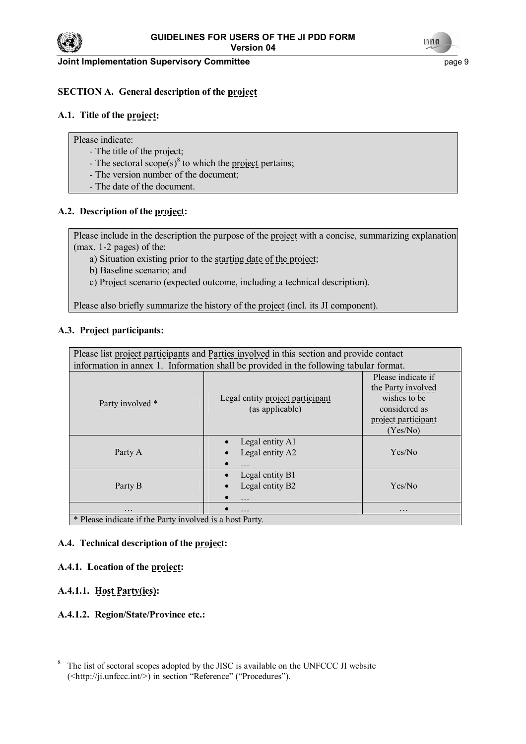



#### **Joint Implementation Supervisory Committee** page 9

# **SECTION A. General description of the project**

# **A.1. Title of the project:**

Please indicate:

- The title of the project;
- The sectoral  $\text{scope}(s)^8$  to which the project pertains;
- The version number of the document;
- The date of the document.

# **A.2. Description of the project:**

Please include in the description the purpose of the project with a concise, summarizing explanation (max. 1-2 pages) of the:

- a) Situation existing prior to the starting date of the project;
- b) Baseline scenario; and
- c) Project scenario (expected outcome, including a technical description).

Please also briefly summarize the history of the project (incl. its JI component).

# **A.3. Project participants:**

| Please list project participants and Parties involved in this section and provide contact |                                                     |                                                                                                              |  |  |
|-------------------------------------------------------------------------------------------|-----------------------------------------------------|--------------------------------------------------------------------------------------------------------------|--|--|
| information in annex 1. Information shall be provided in the following tabular format.    |                                                     |                                                                                                              |  |  |
| Party involved *                                                                          | Legal entity project participant<br>(as applicable) | Please indicate if<br>the Party involved<br>wishes to be<br>considered as<br>project participant<br>(Yes/No) |  |  |
| Party A                                                                                   | Legal entity A1<br>Legal entity A2                  | Yes/No                                                                                                       |  |  |
| Party B                                                                                   | Legal entity B1<br>Legal entity B2<br>$\cdots$      | Yes/No                                                                                                       |  |  |
| $\ddotsc$                                                                                 | $\cdots$                                            | $\cdots$                                                                                                     |  |  |
| * Please indicate if the Party involved is a host Party                                   |                                                     |                                                                                                              |  |  |

\* Please indicate if the Party involved is a host Party.

#### **A.4. Technical description of the project:**

# **A.4.1. Location of the project:**

# **A.4.1.1. Host Party(ies):**

l

#### **A.4.1.2. Region/State/Province etc.:**

 $8\degree$  The list of sectoral scopes adopted by the JISC is available on the UNFCCC JI website  $(\langle \text{http://ji.unfccc.int/>})$  in section "Reference" ("Procedures").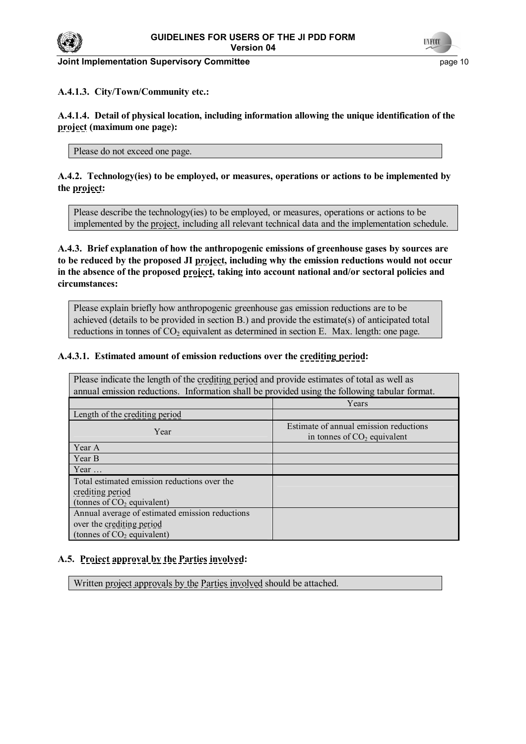

#### **Joint Implementation Supervisory Committee** *page 10* **and the page 10 and the page 10 and the page 10 and the page 10**

# **A.4.1.3. City/Town/Community etc.:**

**A.4.1.4. Detail of physical location, including information allowing the unique identification of the project (maximum one page):**

Please do not exceed one page.

# **A.4.2. Technology(ies) to be employed, or measures, operations or actions to be implemented by the project:**

Please describe the technology(ies) to be employed, or measures, operations or actions to be implemented by the project, including all relevant technical data and the implementation schedule.

**A.4.3. Brief explanation of how the anthropogenic emissions of greenhouse gases by sources are to be reduced by the proposed JI project, including why the emission reductions would not occur in the absence of the proposed project, taking into account national and/or sectoral policies and circumstances:**

Please explain briefly how anthropogenic greenhouse gas emission reductions are to be achieved (details to be provided in section B.) and provide the estimate(s) of anticipated total reductions in tonnes of  $CO<sub>2</sub>$  equivalent as determined in section E. Max. length: one page.

#### **A.4.3.1. Estimated amount of emission reductions over the crediting period:**

| Please indicate the length of the <u>crediting period</u> and provide estimates of total as well as<br>annual emission reductions. Information shall be provided using the following tabular format. |                                                                         |  |  |
|------------------------------------------------------------------------------------------------------------------------------------------------------------------------------------------------------|-------------------------------------------------------------------------|--|--|
|                                                                                                                                                                                                      | Years                                                                   |  |  |
| Length of the crediting period                                                                                                                                                                       |                                                                         |  |  |
| Year                                                                                                                                                                                                 | Estimate of annual emission reductions<br>in tonnes of $CO2$ equivalent |  |  |
| Year A                                                                                                                                                                                               |                                                                         |  |  |
| Year B                                                                                                                                                                                               |                                                                         |  |  |
| Year $\dots$                                                                                                                                                                                         |                                                                         |  |  |
| Total estimated emission reductions over the                                                                                                                                                         |                                                                         |  |  |
| crediting period                                                                                                                                                                                     |                                                                         |  |  |
| (tonnes of $CO2$ equivalent)                                                                                                                                                                         |                                                                         |  |  |
| Annual average of estimated emission reductions                                                                                                                                                      |                                                                         |  |  |
| over the crediting period                                                                                                                                                                            |                                                                         |  |  |
| (tonnes of $CO2$ equivalent)                                                                                                                                                                         |                                                                         |  |  |

# **A.5. Project approval by the Parties involved:**

Written project approvals by the Parties involved should be attached.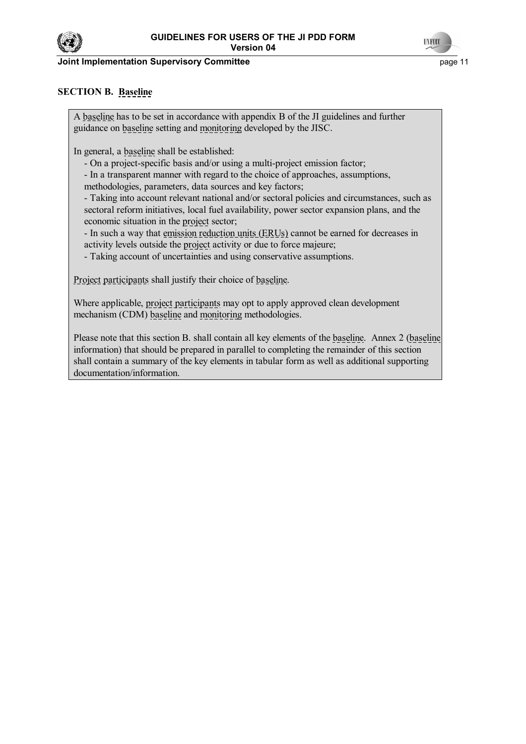

#### **Joint Implementation Supervisory Committee** *page 11* **and the page 11 and the page 11**



# **SECTION B. Baseline**

A baseline has to be set in accordance with appendix B of the JI guidelines and further guidance on baseline setting and monitoring developed by the JISC.

In general, a baseline shall be established:

- On a project-specific basis and/or using a multi-project emission factor;

- In a transparent manner with regard to the choice of approaches, assumptions,

methodologies, parameters, data sources and key factors;

 - Taking into account relevant national and/or sectoral policies and circumstances, such as sectoral reform initiatives, local fuel availability, power sector expansion plans, and the economic situation in the project sector;

 - In such a way that emission reduction units (ERUs) cannot be earned for decreases in activity levels outside the project activity or due to force majeure;

- Taking account of uncertainties and using conservative assumptions.

Project participants shall justify their choice of baseline.

Where applicable, project participants may opt to apply approved clean development mechanism (CDM) baseline and monitoring methodologies.

Please note that this section B. shall contain all key elements of the baseline. Annex 2 (baseline information) that should be prepared in parallel to completing the remainder of this section shall contain a summary of the key elements in tabular form as well as additional supporting documentation/information.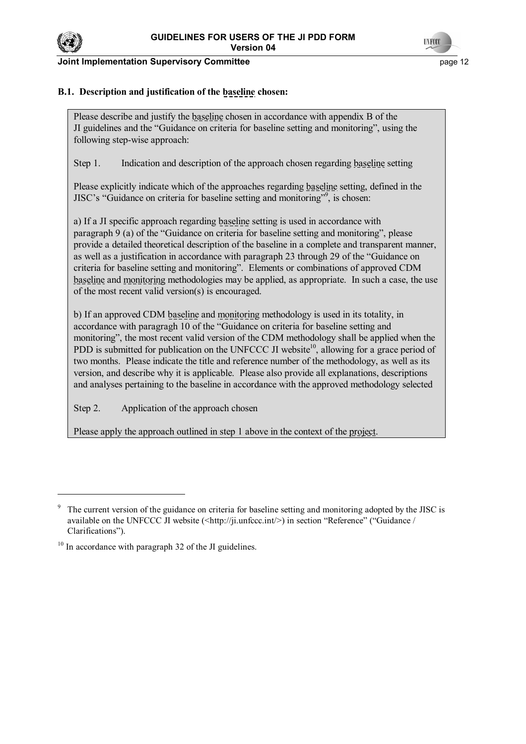

 $\overline{a}$ 

**Joint Implementation Supervisory Committee** *page 12* **and the page 12 and the page 12** 



# **B.1. Description and justification of the baseline chosen:**

Please describe and justify the baseline chosen in accordance with appendix B of the JI guidelines and the "Guidance on criteria for baseline setting and monitoring", using the following step-wise approach:

Step 1. Indication and description of the approach chosen regarding baseline setting

Please explicitly indicate which of the approaches regarding baseline setting, defined in the JISC's "Guidance on criteria for baseline setting and monitoring"<sup>9</sup>, is chosen:

a) If a JI specific approach regarding baseline setting is used in accordance with paragraph 9 (a) of the "Guidance on criteria for baseline setting and monitoring", please provide a detailed theoretical description of the baseline in a complete and transparent manner, as well as a justification in accordance with paragraph 23 through 29 of the "Guidance on criteria for baseline setting and monitoringî. Elements or combinations of approved CDM baseline and monitoring methodologies may be applied, as appropriate. In such a case, the use of the most recent valid version(s) is encouraged.

b) If an approved CDM baseline and monitoring methodology is used in its totality, in accordance with paragragh 10 of the "Guidance on criteria for baseline setting and monitoring", the most recent valid version of the CDM methodology shall be applied when the PDD is submitted for publication on the UNFCCC JI website<sup>10</sup>, allowing for a grace period of two months. Please indicate the title and reference number of the methodology, as well as its version, and describe why it is applicable. Please also provide all explanations, descriptions and analyses pertaining to the baseline in accordance with the approved methodology selected

Step 2. Application of the approach chosen

Please apply the approach outlined in step 1 above in the context of the project.

<sup>9</sup> The current version of the guidance on criteria for baseline setting and monitoring adopted by the JISC is available on the UNFCCC JI website  $\langle \text{5http://ii.unfccc.int/>)}$  in section "Reference" ("Guidance / Clarifications").

 $10$  In accordance with paragraph 32 of the JI guidelines.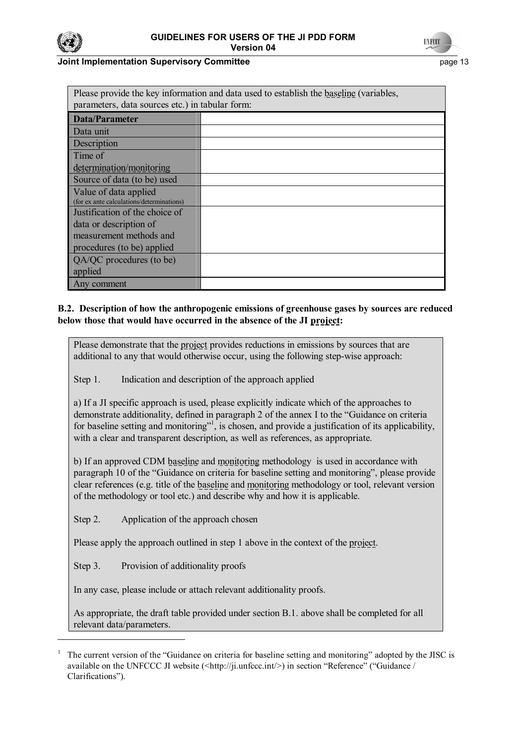



#### **Joint Implementation Supervisory Committee** *page 13* **and the page 13 and the page 13**

| Please provide the key information and data used to establish the <u>baseline</u> (variables, |  |  |  |
|-----------------------------------------------------------------------------------------------|--|--|--|
| parameters, data sources etc.) in tabular form:                                               |  |  |  |
| <b>Data/Parameter</b>                                                                         |  |  |  |
| Data unit                                                                                     |  |  |  |
| Description                                                                                   |  |  |  |
| Time of                                                                                       |  |  |  |
| determination/monitoring                                                                      |  |  |  |
| Source of data (to be) used                                                                   |  |  |  |
| Value of data applied                                                                         |  |  |  |
| (for ex ante calculations/determinations)                                                     |  |  |  |
| Justification of the choice of                                                                |  |  |  |
| data or description of                                                                        |  |  |  |
| measurement methods and                                                                       |  |  |  |
| procedures (to be) applied                                                                    |  |  |  |
| QA/QC procedures (to be)                                                                      |  |  |  |
| applied                                                                                       |  |  |  |
| Any comment                                                                                   |  |  |  |

#### **B.2. Description of how the anthropogenic emissions of greenhouse gases by sources are reduced below those that would have occurred in the absence of the JI project:**

Please demonstrate that the project provides reductions in emissions by sources that are additional to any that would otherwise occur, using the following step-wise approach:

Step 1. Indication and description of the approach applied

a) If a JI specific approach is used, please explicitly indicate which of the approaches to demonstrate additionality, defined in paragraph 2 of the annex I to the "Guidance on criteria" for baseline setting and monitoring"<sup>1</sup>, is chosen, and provide a justification of its applicability, with a clear and transparent description, as well as references, as appropriate.

b) If an approved CDM baseline and monitoring methodology is used in accordance with paragraph 10 of the "Guidance on criteria for baseline setting and monitoring", please provide clear references (e.g. title of the baseline and monitoring methodology or tool, relevant version of the methodology or tool etc.) and describe why and how it is applicable.

Step 2. Application of the approach chosen

Please apply the approach outlined in step 1 above in the context of the project.

Step 3. Provision of additionality proofs

l

In any case, please include or attach relevant additionality proofs.

As appropriate, the draft table provided under section B.1. above shall be completed for all relevant data/parameters.

<sup>1</sup> The current version of the "Guidance on criteria for baseline setting and monitoring" adopted by the JISC is available on the UNFCCC JI website  $\langle$ http://ji.unfccc.int/>) in section "Reference" ("Guidance / Clarifications").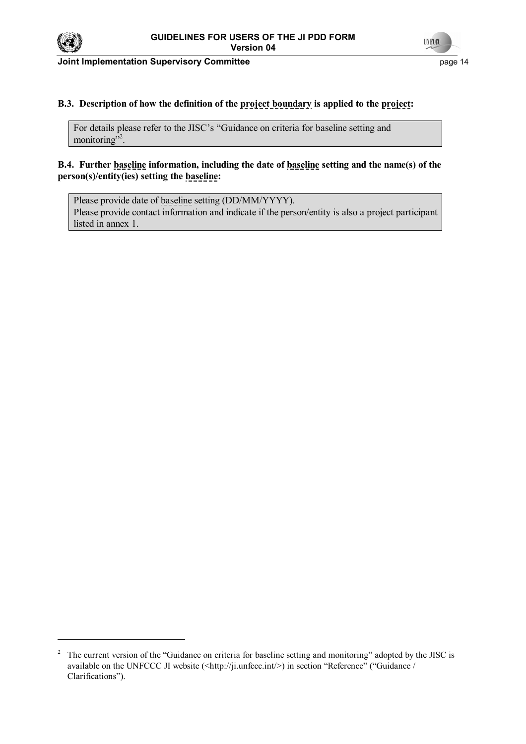



**Joint Implementation Supervisory Committee** <br>
page 14

# **B.3. Description of how the definition of the project boundary is applied to the project:**

For details please refer to the JISC's "Guidance on criteria for baseline setting and monitoring"<sup>2</sup> .

# **B.4. Further baseline information, including the date of baseline setting and the name(s) of the person(s)/entity(ies) setting the baseline:**

Please provide date of baseline setting (DD/MM/YYYY). Please provide contact information and indicate if the person/entity is also a project participant listed in annex 1.

<sup>2</sup> The current version of the "Guidance on criteria for baseline setting and monitoring" adopted by the JISC is available on the UNFCCC JI website  $(\langle \text{http://ji.unfccc.int/>}\rangle)$  in section "Reference" ("Guidance / Clarifications").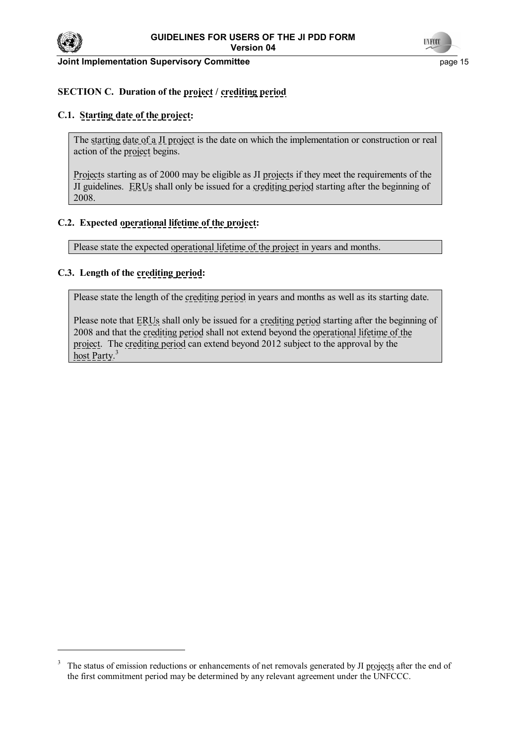



#### **Joint Implementation Supervisory Committee** *page 15* **and the page 15 and the page 15**

# **SECTION C. Duration of the project / crediting period**

#### **C.1. Starting date of the project:**

The starting date of a JI project is the date on which the implementation or construction or real action of the project begins.

Projects starting as of 2000 may be eligible as JI projects if they meet the requirements of the JI guidelines. ERUs shall only be issued for a crediting period starting after the beginning of 2008.

#### **C.2. Expected operational lifetime of the project:**

Please state the expected operational lifetime of the project in years and months.

#### **C.3. Length of the crediting period:**

Please state the length of the crediting period in years and months as well as its starting date.

Please note that ERUs shall only be issued for a crediting period starting after the beginning of 2008 and that the crediting period shall not extend beyond the operational lifetime of the project. The crediting period can extend beyond 2012 subject to the approval by the host Party.<sup>3</sup>

<sup>3</sup> The status of emission reductions or enhancements of net removals generated by JI projects after the end of the first commitment period may be determined by any relevant agreement under the UNFCCC.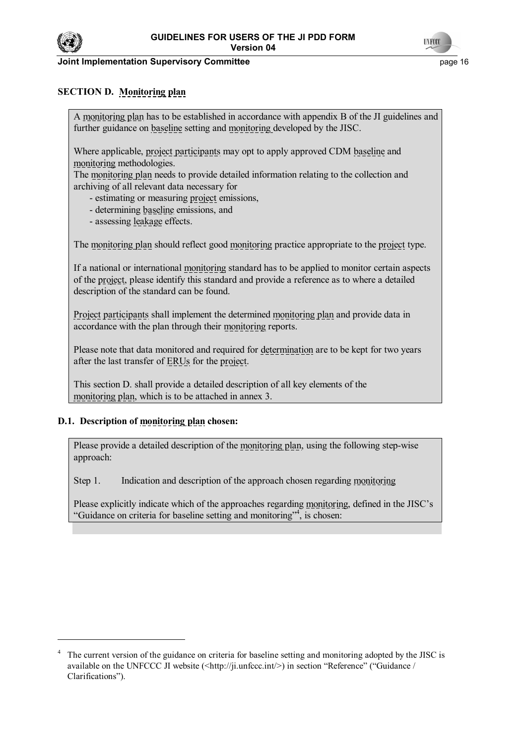

#### **Joint Implementation Supervisory Committee** *page 16* **and the page 16 and the page 16 and the page 16 and the page 16 and the page 16 and the page 16 and the page 16 and the page 16 and the page 16 and the page 16 and the**



# **SECTION D. Monitoring plan**

A monitoring plan has to be established in accordance with appendix B of the JI guidelines and further guidance on baseline setting and monitoring developed by the JISC.

Where applicable, project participants may opt to apply approved CDM baseline and monitoring methodologies.

The monitoring plan needs to provide detailed information relating to the collection and archiving of all relevant data necessary for

- estimating or measuring project emissions,
- determining baseline emissions, and
- assessing leakage effects.

The monitoring plan should reflect good monitoring practice appropriate to the project type.

If a national or international monitoring standard has to be applied to monitor certain aspects of the project, please identify this standard and provide a reference as to where a detailed description of the standard can be found.

Project participants shall implement the determined monitoring plan and provide data in accordance with the plan through their monitoring reports.

Please note that data monitored and required for determination are to be kept for two years after the last transfer of ERUs for the project.

This section D. shall provide a detailed description of all key elements of the monitoring plan, which is to be attached in annex 3.

#### **D.1. Description of monitoring plan chosen:**

Please provide a detailed description of the monitoring plan, using the following step-wise approach:

Step 1. Indication and description of the approach chosen regarding monitoring

Please explicitly indicate which of the approaches regarding monitoring, defined in the JISC's "Guidance on criteria for baseline setting and monitoring"<sup>4</sup>, is chosen:

<sup>4</sup> The current version of the guidance on criteria for baseline setting and monitoring adopted by the JISC is available on the UNFCCC JI website  $\langle$ http://ji.unfccc.int/>) in section "Reference" ("Guidance / Clarifications").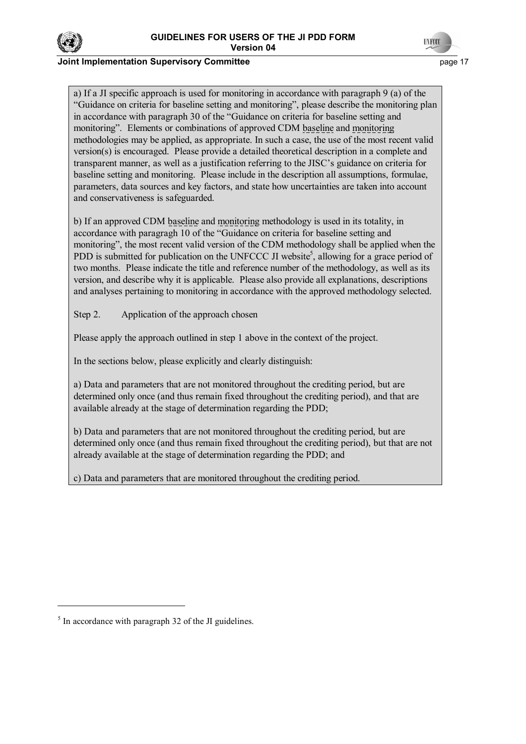

# **INFOX**

#### **Joint Implementation Supervisory Committee** *page 17* **and the set of the set of the set of the set of the set of the set of the set of the set of the set of the set of the set of the set of the set of the set of the set of**

a) If a JI specific approach is used for monitoring in accordance with paragraph 9 (a) of the ìGuidance on criteria for baseline setting and monitoringî, please describe the monitoring plan in accordance with paragraph 30 of the "Guidance on criteria for baseline setting and monitoringî. Elements or combinations of approved CDM baseline and monitoring methodologies may be applied, as appropriate. In such a case, the use of the most recent valid version(s) is encouraged. Please provide a detailed theoretical description in a complete and transparent manner, as well as a justification referring to the JISC's guidance on criteria for baseline setting and monitoring. Please include in the description all assumptions, formulae, parameters, data sources and key factors, and state how uncertainties are taken into account and conservativeness is safeguarded.

b) If an approved CDM baseline and monitoring methodology is used in its totality, in accordance with paragragh 10 of the "Guidance on criteria for baseline setting and monitoring", the most recent valid version of the CDM methodology shall be applied when the PDD is submitted for publication on the UNFCCC JI website<sup>5</sup>, allowing for a grace period of two months. Please indicate the title and reference number of the methodology, as well as its version, and describe why it is applicable. Please also provide all explanations, descriptions and analyses pertaining to monitoring in accordance with the approved methodology selected.

Step 2. Application of the approach chosen

Please apply the approach outlined in step 1 above in the context of the project.

In the sections below, please explicitly and clearly distinguish:

a) Data and parameters that are not monitored throughout the crediting period, but are determined only once (and thus remain fixed throughout the crediting period), and that are available already at the stage of determination regarding the PDD;

b) Data and parameters that are not monitored throughout the crediting period, but are determined only once (and thus remain fixed throughout the crediting period), but that are not already available at the stage of determination regarding the PDD; and

c) Data and parameters that are monitored throughout the crediting period.

 $\overline{a}$ 

 $<sup>5</sup>$  In accordance with paragraph 32 of the JI guidelines.</sup>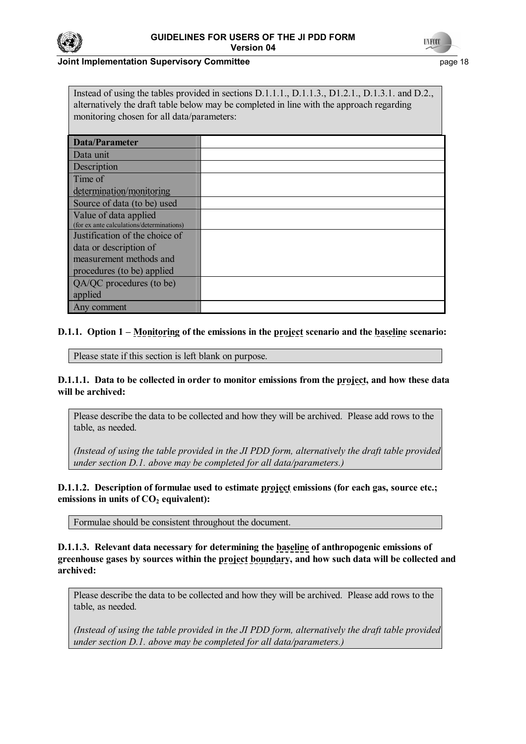



#### **Joint Implementation Supervisory Committee** *page 18* **and the page 18 and the page 18 and the page 18 and the page 18 and the page 18 and the page 18 and the page 18 and the page 18 and the page 18 and the page 18 and the**

Instead of using the tables provided in sections D.1.1.1., D.1.1.3., D1.2.1., D.1.3.1. and D.2., alternatively the draft table below may be completed in line with the approach regarding monitoring chosen for all data/parameters:

| <b>Data/Parameter</b>                     |  |
|-------------------------------------------|--|
| Data unit                                 |  |
| Description                               |  |
| Time of                                   |  |
| determination/monitoring                  |  |
| Source of data (to be) used               |  |
| Value of data applied                     |  |
| (for ex ante calculations/determinations) |  |
| Justification of the choice of            |  |
| data or description of                    |  |
| measurement methods and                   |  |
| procedures (to be) applied                |  |
| QA/QC procedures (to be)                  |  |
| applied                                   |  |
| Any comment                               |  |

# **D.1.1.** Option 1 – Monitoring of the emissions in the project scenario and the baseline scenario:

Please state if this section is left blank on purpose.

**D.1.1.1. Data to be collected in order to monitor emissions from the project, and how these data will be archived:**

Please describe the data to be collected and how they will be archived. Please add rows to the table, as needed.

*(Instead of using the table provided in the JI PDD form, alternatively the draft table provided under section D.1. above may be completed for all data/parameters.)* 

**D.1.1.2. Description of formulae used to estimate project emissions (for each gas, source etc.;** emissions in units of  $CO<sub>2</sub>$  equivalent):

Formulae should be consistent throughout the document.

**D.1.1.3. Relevant data necessary for determining the baseline of anthropogenic emissions of**  greenhouse gases by sources within the project boundary, and how such data will be collected and **archived:**

Please describe the data to be collected and how they will be archived. Please add rows to the table, as needed.

*(Instead of using the table provided in the JI PDD form, alternatively the draft table provided under section D.1. above may be completed for all data/parameters.)*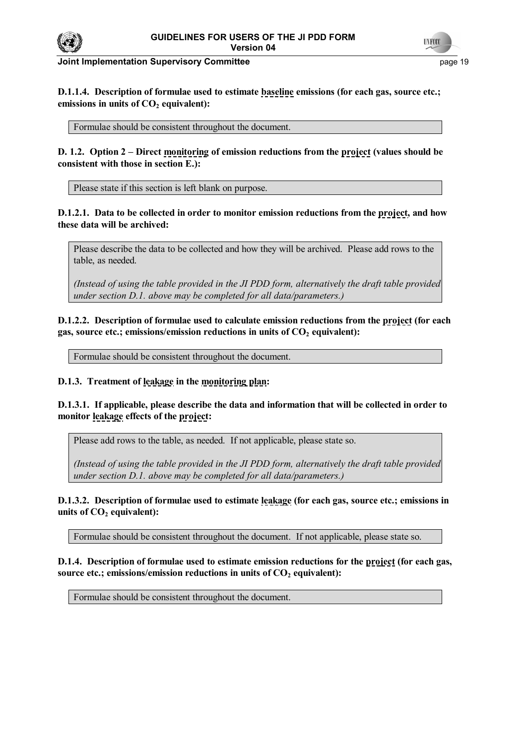



**Joint Implementation Supervisory Committee** *page 19* **and the page 19 and the page 19 and the page 19 and the page 19 and the page 19 and the page 19 and the page 19 and the page 19 and the page 19 and the page 19 and the** 

**D.1.1.4. Description of formulae used to estimate baseline emissions (for each gas, source etc.;**  emissions in units of CO<sub>2</sub> equivalent):

Formulae should be consistent throughout the document.

**D. 1.2. Option 2 – Direct monitoring of emission reductions from the project (values should be consistent with those in section E.):**

Please state if this section is left blank on purpose.

**D.1.2.1. Data to be collected in order to monitor emission reductions from the project, and how these data will be archived:** 

Please describe the data to be collected and how they will be archived. Please add rows to the table, as needed.

*(Instead of using the table provided in the JI PDD form, alternatively the draft table provided under section D.1. above may be completed for all data/parameters.)*

**D.1.2.2. Description of formulae used to calculate emission reductions from the project (for each**  gas, source etc.; emissions/emission reductions in units of CO<sub>2</sub> equivalent):

Formulae should be consistent throughout the document.

**D.1.3. Treatment of leakage in the monitoring plan:** 

**D.1.3.1. If applicable, please describe the data and information that will be collected in order to monitor leakage effects of the project:** 

Please add rows to the table, as needed. If not applicable, please state so.

*(Instead of using the table provided in the JI PDD form, alternatively the draft table provided under section D.1. above may be completed for all data/parameters.)*

**D.1.3.2. Description of formulae used to estimate leakage (for each gas, source etc.; emissions in**  units of  $CO<sub>2</sub>$  equivalent):

Formulae should be consistent throughout the document. If not applicable, please state so.

**D.1.4. Description of formulae used to estimate emission reductions for the project (for each gas,**  source etc.; emissions/emission reductions in units of  $CO<sub>2</sub>$  equivalent):

Formulae should be consistent throughout the document.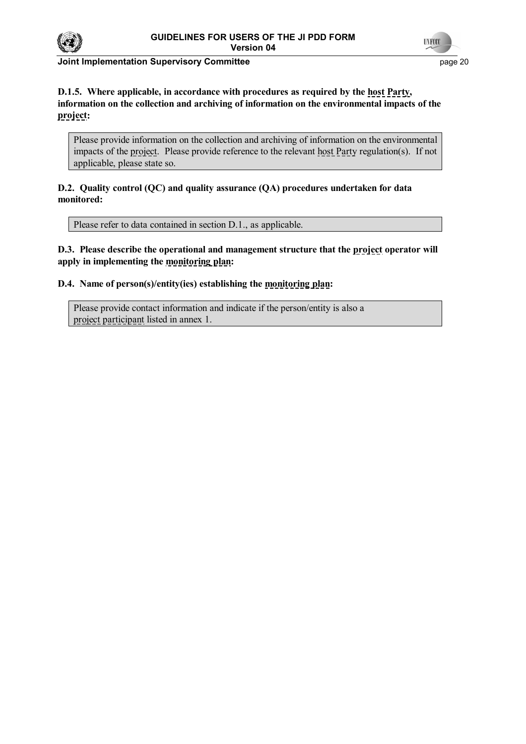



**Joint Implementation Supervisory Committee** *page 20* **and the page 20 and the page 20 and the page 20 and the page 20** 

# **D.1.5. Where applicable, in accordance with procedures as required by the host Party, information on the collection and archiving of information on the environmental impacts of the project:**

Please provide information on the collection and archiving of information on the environmental impacts of the project. Please provide reference to the relevant host Party regulation(s). If not applicable, please state so.

**D.2. Quality control (QC) and quality assurance (QA) procedures undertaken for data monitored:**

Please refer to data contained in section D.1., as applicable.

**D.3. Please describe the operational and management structure that the project operator will apply in implementing the monitoring plan:** 

**D.4. Name of person(s)/entity(ies) establishing the monitoring plan:** 

Please provide contact information and indicate if the person/entity is also a project participant listed in annex 1.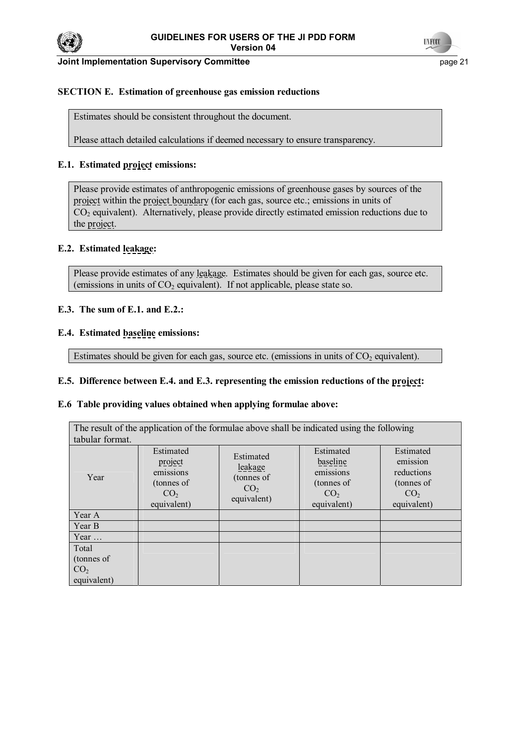



#### **Joint Implementation Supervisory Committee** *page 21* **and the page 21 and the page 21**

# **SECTION E. Estimation of greenhouse gas emission reductions**

Estimates should be consistent throughout the document.

Please attach detailed calculations if deemed necessary to ensure transparency.

#### **E.1. Estimated project emissions:**

Please provide estimates of anthropogenic emissions of greenhouse gases by sources of the project within the project boundary (for each gas, source etc.; emissions in units of  $CO<sub>2</sub>$  equivalent). Alternatively, please provide directly estimated emission reductions due to the project.

#### **E.2. Estimated leakage:**

Please provide estimates of any leakage. Estimates should be given for each gas, source etc. (emissions in units of  $CO<sub>2</sub>$  equivalent). If not applicable, please state so.

#### **E.3. The sum of E.1. and E.2.:**

#### **E.4. Estimated baseline emissions:**

Estimates should be given for each gas, source etc. (emissions in units of  $CO<sub>2</sub>$  equivalent).

#### **E.5. Difference between E.4. and E.3. representing the emission reductions of the project:**

#### **E.6 Table providing values obtained when applying formulae above:**

| The result of the application of the formulae above shall be indicated using the following |                                                                                   |                                                                      |                                                                                    |                                                                                     |  |  |
|--------------------------------------------------------------------------------------------|-----------------------------------------------------------------------------------|----------------------------------------------------------------------|------------------------------------------------------------------------------------|-------------------------------------------------------------------------------------|--|--|
| tabular format.                                                                            |                                                                                   |                                                                      |                                                                                    |                                                                                     |  |  |
| Year                                                                                       | Estimated<br>project<br>emissions<br>(tonnes of<br>CO <sub>2</sub><br>equivalent) | Estimated<br>leakage<br>(tonnes of<br>CO <sub>2</sub><br>equivalent) | Estimated<br>baseline<br>emissions<br>(tonnes of<br>CO <sub>2</sub><br>equivalent) | Estimated<br>emission<br>reductions<br>(tonnes of<br>CO <sub>2</sub><br>equivalent) |  |  |
| Year A                                                                                     |                                                                                   |                                                                      |                                                                                    |                                                                                     |  |  |
| Year B                                                                                     |                                                                                   |                                                                      |                                                                                    |                                                                                     |  |  |
| Year $\dots$                                                                               |                                                                                   |                                                                      |                                                                                    |                                                                                     |  |  |
| Total<br>(tonnes of<br>CO <sub>2</sub><br>equivalent)                                      |                                                                                   |                                                                      |                                                                                    |                                                                                     |  |  |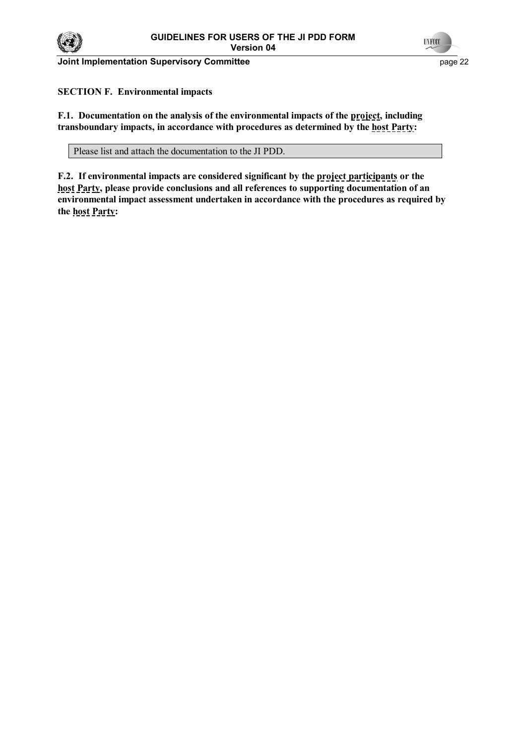

**Joint Implementation Supervisory Committee** *page* **22 page 22** 



**SECTION F. Environmental impacts** 

**F.1. Documentation on the analysis of the environmental impacts of the project, including transboundary impacts, in accordance with procedures as determined by the host Party:** 

Please list and attach the documentation to the JI PDD.

**F.2. If environmental impacts are considered significant by the project participants or the host Party, please provide conclusions and all references to supporting documentation of an environmental impact assessment undertaken in accordance with the procedures as required by the host Party:**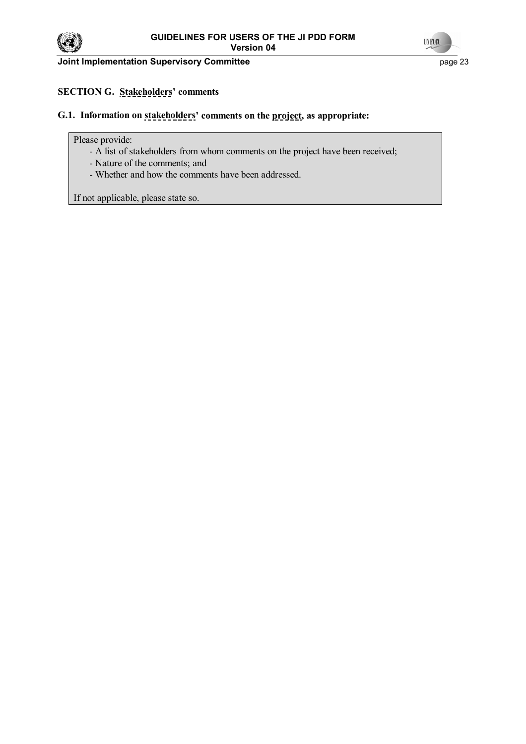

**Joint Implementation Supervisory Committee** <br>
page 23



# **SECTION G. Stakeholders' comments**

# G.1. Information on stakeholders' comments on the project, as appropriate:

#### Please provide:

- A list of stakeholders from whom comments on the project have been received;
- Nature of the comments; and
- Whether and how the comments have been addressed.

If not applicable, please state so.